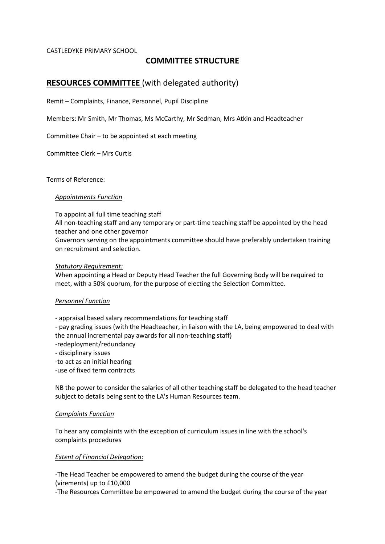#### CASTLEDYKE PRIMARY SCHOOL

# **COMMITTEE STRUCTURE**

# **RESOURCES COMMITTEE** (with delegated authority)

Remit – Complaints, Finance, Personnel, Pupil Discipline

Members: Mr Smith, Mr Thomas, Ms McCarthy, Mr Sedman, Mrs Atkin and Headteacher

Committee Chair – to be appointed at each meeting

Committee Clerk – Mrs Curtis

Terms of Reference:

#### *Appointments Function*

To appoint all full time teaching staff All non-teaching staff and any temporary or part-time teaching staff be appointed by the head teacher and one other governor Governors serving on the appointments committee should have preferably undertaken training on recruitment and selection.

#### *Statutory Requirement:*

When appointing a Head or Deputy Head Teacher the full Governing Body will be required to meet, with a 50% quorum, for the purpose of electing the Selection Committee.

#### *Personnel Function*

- appraisal based salary recommendations for teaching staff

- pay grading issues (with the Headteacher, in liaison with the LA, being empowered to deal with the annual incremental pay awards for all non-teaching staff)

- -redeployment/redundancy
- disciplinary issues
- -to act as an initial hearing
- -use of fixed term contracts

NB the power to consider the salaries of all other teaching staff be delegated to the head teacher subject to details being sent to the LA's Human Resources team.

#### *Complaints Function*

To hear any complaints with the exception of curriculum issues in line with the school's complaints procedures

### *Extent of Financial Delegation*:

-The Head Teacher be empowered to amend the budget during the course of the year (virements) up to £10,000

-The Resources Committee be empowered to amend the budget during the course of the year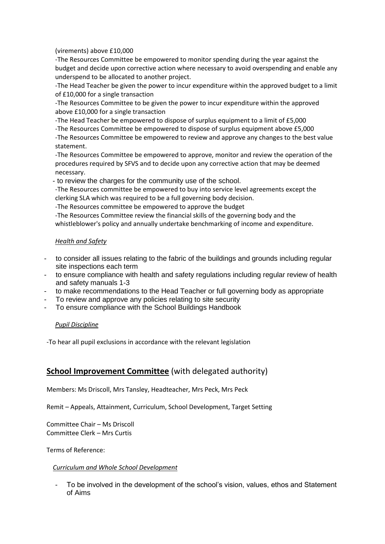(virements) above £10,000

-The Resources Committee be empowered to monitor spending during the year against the budget and decide upon corrective action where necessary to avoid overspending and enable any underspend to be allocated to another project.

-The Head Teacher be given the power to incur expenditure within the approved budget to a limit of £10,000 for a single transaction

-The Resources Committee to be given the power to incur expenditure within the approved above £10,000 for a single transaction

-The Head Teacher be empowered to dispose of surplus equipment to a limit of £5,000

-The Resources Committee be empowered to dispose of surplus equipment above £5,000

-The Resources Committee be empowered to review and approve any changes to the best value statement.

-The Resources Committee be empowered to approve, monitor and review the operation of the procedures required by SFVS and to decide upon any corrective action that may be deemed necessary.

- to review the charges for the community use of the school.

-The Resources committee be empowered to buy into service level agreements except the clerking SLA which was required to be a full governing body decision.

-The Resources committee be empowered to approve the budget

-The Resources Committee review the financial skills of the governing body and the whistleblower's policy and annually undertake benchmarking of income and expenditure.

## *Health and Safety*

- to consider all issues relating to the fabric of the buildings and grounds including regular site inspections each term
- to ensure compliance with health and safety regulations including regular review of health and safety manuals 1-3
- to make recommendations to the Head Teacher or full governing body as appropriate
- To review and approve any policies relating to site security
- To ensure compliance with the School Buildings Handbook

## *Pupil Discipline*

-To hear all pupil exclusions in accordance with the relevant legislation

# **School Improvement Committee** (with delegated authority)

Members: Ms Driscoll, Mrs Tansley, Headteacher, Mrs Peck, Mrs Peck

Remit – Appeals, Attainment, Curriculum, School Development, Target Setting

Committee Chair – Ms Driscoll Committee Clerk – Mrs Curtis

Terms of Reference:

### *Curriculum and Whole School Development*

To be involved in the development of the school's vision, values, ethos and Statement of Aims